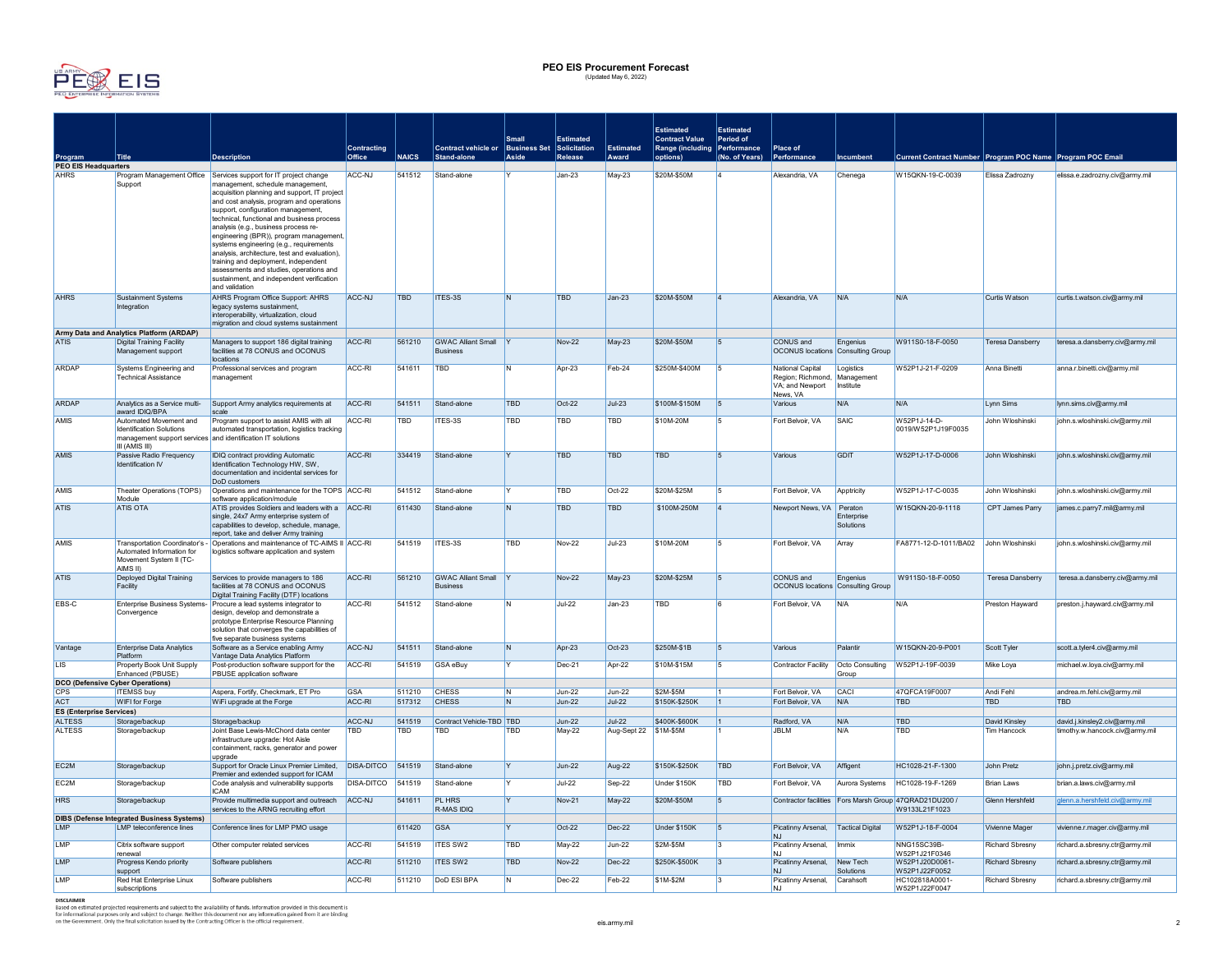

## **PEO EIS Procurement Forecast** (Updated May 6, 2022)

|                                                  |                                                                                                                                            |                                                                                                                                                                                                                                                                                                                                                                                                                                                                                    |                   |              |                                               |                |                |                       | <b>Estimated</b>                                      | <b>Estimated</b> |                                                                                 |                          |                                                                         |                         |                                 |
|--------------------------------------------------|--------------------------------------------------------------------------------------------------------------------------------------------|------------------------------------------------------------------------------------------------------------------------------------------------------------------------------------------------------------------------------------------------------------------------------------------------------------------------------------------------------------------------------------------------------------------------------------------------------------------------------------|-------------------|--------------|-----------------------------------------------|----------------|----------------|-----------------------|-------------------------------------------------------|------------------|---------------------------------------------------------------------------------|--------------------------|-------------------------------------------------------------------------|-------------------------|---------------------------------|
|                                                  |                                                                                                                                            |                                                                                                                                                                                                                                                                                                                                                                                                                                                                                    | Contracting       |              | Contract vehicle or Business Set Solicitation | <b>Small</b>   | Estimated      | Estimated             | <b>Contract Value</b><br>Range (including Performance | Period of        | Place of                                                                        |                          |                                                                         |                         |                                 |
| Program                                          | <b>Title</b>                                                                                                                               | <b>Description</b>                                                                                                                                                                                                                                                                                                                                                                                                                                                                 | Office            | <b>NAICS</b> | Stand-alone                                   | Aside          | <b>Release</b> | Award                 | options <sup>'</sup>                                  | (No. of Years)   | Performance                                                                     | <b>Incumbent</b>         | Current Contract Number Program POC Name Program POC Email              |                         |                                 |
| <b>PEO EIS Headquarters</b><br><b>AHRS</b>       |                                                                                                                                            | Program Management Office Services support for IT project change                                                                                                                                                                                                                                                                                                                                                                                                                   | ACC-NJ            | 541512       | Stand-alone                                   |                | $Jan-23$       | <b>May-23</b>         | \$20M-\$50M                                           |                  | Alexandria, VA                                                                  | Chenega                  | W15QKN-19-C-0039                                                        | Elissa Zadrozny         | elissa.e.zadrozny.civ@army.mil  |
|                                                  | Support                                                                                                                                    | management, schedule management,<br>acquisition planning and support, IT project<br>and cost analysis, program and operations<br>support, configuration management<br>technical, functional and business process<br>analysis (e.g., business process re-<br>engineering (BPR)), program management,<br>systems engineering (e.g., requirements<br>analysis, architecture, test and evaluation),<br>training and deployment, independent<br>assessments and studies, operations and |                   |              |                                               |                |                |                       |                                                       |                  |                                                                                 |                          |                                                                         |                         |                                 |
|                                                  |                                                                                                                                            | sustainment, and independent verification<br>and validation                                                                                                                                                                                                                                                                                                                                                                                                                        |                   |              |                                               |                |                |                       |                                                       |                  |                                                                                 |                          |                                                                         |                         |                                 |
| <b>AHRS</b>                                      | Sustainment Systems<br>Integration                                                                                                         | AHRS Program Office Support: AHRS<br>legacy systems sustainment,<br>interoperability, virtualization, cloud<br>migration and cloud systems sustainment                                                                                                                                                                                                                                                                                                                             | ACC-NJ            | TBD          | ITES-3S                                       | IN.            | TBD            | Jan-23                | \$20M-\$50M                                           | $\overline{4}$   | Alexandria, VA                                                                  | N/A                      | N/A                                                                     | Curtis Watson           | curtis.t.watson.civ@army.mil    |
|                                                  | Army Data and Analytics Platform (ARDAP)                                                                                                   |                                                                                                                                                                                                                                                                                                                                                                                                                                                                                    |                   |              |                                               |                |                |                       |                                                       |                  |                                                                                 |                          |                                                                         |                         |                                 |
| <b>ATIS</b>                                      | <b>Digital Training Facility</b><br>Management support                                                                                     | Managers to support 186 digital training<br>facilities at 78 CONUS and OCONUS<br>locations                                                                                                                                                                                                                                                                                                                                                                                         | ACC-RI            | 561210       | <b>GWAC Alliant Small</b><br><b>Business</b>  |                | <b>Nov-22</b>  | <b>May-23</b>         | \$20M-\$50M                                           | $\overline{5}$   | CONUS and<br><b>OCONUS locations Consulting Group</b>                           | Engenius                 | W911S0-18-F-0050                                                        | Teresa Dansberry        | teresa.a.dansberry.civ@army.mil |
| <b>ARDAP</b>                                     | Systems Engineering and<br><b>Technical Assistance</b>                                                                                     | Professional services and program<br>management                                                                                                                                                                                                                                                                                                                                                                                                                                    | ACC-RI            | 541611       | TBD                                           | N              | Apr-23         | Feb-24                | \$250M-\$400M                                         | 5                | National Capital<br>Region; Richmond, Management<br>VA; and Newport<br>News, VA | Logistics<br>Institute   | W52P1J-21-F-0209                                                        | Anna Binetti            | anna.r.binetti.civ@army.mil     |
| <b>ARDAP</b>                                     | Analytics as a Service multi-<br>award IDIQ/BPA                                                                                            | Support Army analytics requirements at                                                                                                                                                                                                                                                                                                                                                                                                                                             | ACC-RI            | 541511       | Stand-alone                                   | <b>TRD</b>     | $Oct-22$       | $Jul-23$              | \$100M-\$150M                                         | 5                | Various                                                                         | N/A                      | N/A                                                                     | Lynn Sims               | lynn.sims.civ@army.mil          |
| AMIS                                             | Automated Movement and<br><b>Identification Solutions</b><br>management support services and identification IT solutions<br>III (AMIS III) | Program support to assist AMIS with all<br>automated transportation, logistics tracking                                                                                                                                                                                                                                                                                                                                                                                            | ACC-RI            | <b>TBD</b>   | ITES-3S                                       | TBD            | TBD            | TBD                   | \$10M-20M                                             | 5                | Fort Belvoir, VA                                                                | SAIC                     | W52P1J-14-D-<br>0019/W52P1J19F0035                                      | John Wloshinski         | john.s.wloshinski.civ@army.mil  |
| <b>AMIS</b>                                      | Passive Radio Frequency<br>Identification IV                                                                                               | IDIQ contract providing Automatic<br>Identification Technology HW, SW,<br>documentation and incidental services for<br>DoD customers                                                                                                                                                                                                                                                                                                                                               | ACC-RI            | 334419       | Stand-alone                                   |                | <b>TBD</b>     | <b>TBD</b>            | <b>TRD</b>                                            | 5                | Various                                                                         | <b>GDIT</b>              | W52P1J-17-D-0006                                                        | John Wloshinski         | john.s.wloshinski.civ@army.mil  |
| AMIS                                             | Theater Operations (TOPS)<br>Module                                                                                                        | Operations and maintenance for the TOPS ACC-RI                                                                                                                                                                                                                                                                                                                                                                                                                                     |                   | 541512       | Stand-alone                                   |                | TBD            | Oct-22                | \$20M-\$25M                                           |                  | Fort Belvoir, VA                                                                | <b>Apptricity</b>        | W52P1J-17-C-0035                                                        | John Wloshinski         | john.s.wloshinski.civ@army.mil  |
| <b>ATIS</b>                                      | <b>ATIS OTA</b>                                                                                                                            | software application/module<br>ATIS provides Soldiers and leaders with a ACC-RI<br>single, 24x7 Army enterprise system of<br>capabilities to develop, schedule, manage,<br>report, take and deliver Army training                                                                                                                                                                                                                                                                  |                   | 611430       | Stand-alone                                   | IN.            | <b>TBD</b>     | TBD                   | \$100M-250M                                           | $\Delta$         | Newport News, VA Peraton                                                        | Enterprise<br>Solutions  | W150KN-20-9-1118                                                        | CPT James Parry         | james.c.parry7.mil@army.mil     |
| AMIS                                             | Transportation Coordinator's -<br>Automated Information for<br>Movement System II (TC-<br>AIMS II)                                         | Operations and maintenance of TC-AIMS II ACC-RI<br>logistics software application and system                                                                                                                                                                                                                                                                                                                                                                                       |                   | 541519       | ITES-3S                                       | TBD            | <b>Nov-22</b>  | JuL23                 | \$10M-20M                                             | 5                | Fort Belvoir, VA                                                                | Array                    | FA8771-12-D-1011/BA02 John Wloshinski                                   |                         | john.s.wloshinski.civ@army.mil  |
| <b>ATIS</b>                                      | Deployed Digital Training<br>Facility                                                                                                      | Services to provide managers to 186<br>facilities at 78 CONUS and OCONUS<br>Digital Training Facility (DTF) locations                                                                                                                                                                                                                                                                                                                                                              | ACC-RI            | 561210       | <b>GWAC Alliant Small</b><br><b>Business</b>  |                | <b>Nov-22</b>  | May-23                | \$20M-\$25M                                           | 5                | CONUS and<br><b>OCONUS</b> locations Consulting Group                           | Engenius                 | W911S0-18-F-0050                                                        | <b>Teresa Dansberry</b> | teresa.a.dansberry.civ@army.mil |
| EBS-C                                            | Convergence                                                                                                                                | Enterprise Business Systems- Procure a lead systems integrator to<br>design, develop and demonstrate a<br>prototype Enterprise Resource Planning<br>solution that converges the capabilities of<br>five separate business systems                                                                                                                                                                                                                                                  | ACC-RI            | 541512       | Stand-alone                                   | N              | <b>Jul-22</b>  | Jan-23                | TBD                                                   | a                | Fort Belvoir, VA                                                                | N/A                      | N/A                                                                     | Preston Hayward         | preston.j.hayward.civ@army.mil  |
| Vantage                                          | <b>Enterprise Data Analytics</b><br>Platform                                                                                               | Software as a Service enabling Army<br>Vantage Data Analytics Platform                                                                                                                                                                                                                                                                                                                                                                                                             | ACC-NJ            | 541511       | Stand-alone                                   | $\overline{N}$ | Apr-23         | $Oct-23$              | \$250M-\$1B                                           | $\overline{5}$   | Various                                                                         | Palantir                 | W15QKN-20-9-P001                                                        | Scott Tyler             | scott.a.tyler4.civ@army.mil     |
| LIS                                              | Property Book Unit Supply<br>Enhanced (PBUSE)                                                                                              | Post-production software support for the<br>PBUSE application software                                                                                                                                                                                                                                                                                                                                                                                                             | ACC-RI            | 541519       | GSA eBuy                                      |                | Dec-21         | Apr-22                | \$10M-\$15M                                           | 5                | Contractor Facility                                                             | Octo Consulting<br>Group | W52P1J-19F-0039                                                         | Mike Loya               | michael.w.loya.civ@army.mil     |
| <b>DCO (Defensive Cyber Operations)</b>          |                                                                                                                                            |                                                                                                                                                                                                                                                                                                                                                                                                                                                                                    |                   |              |                                               |                |                |                       |                                                       |                  |                                                                                 |                          |                                                                         |                         |                                 |
| <b>CPS</b>                                       | <b>ITEMSS buy</b>                                                                                                                          | Aspera, Fortify, Checkmark, ET Pro                                                                                                                                                                                                                                                                                                                                                                                                                                                 | <b>GSA</b>        | 511210       | <b>CHESS</b>                                  | IN.            | $Jun-22$       | Jun-22                | \$2M-\$5M                                             |                  | Fort Belvoir, VA                                                                | CACI                     | 47QFCA19F0007                                                           | Andi Fehl               | andrea.m.fehl.civ@army.mil      |
| <b>ACT</b>                                       | WIFI for Forge                                                                                                                             | WiFi upgrade at the Forge                                                                                                                                                                                                                                                                                                                                                                                                                                                          | ACC-RI            | 517312       | <b>CHESS</b>                                  | IN.            | $Jun-22$       | $Jul-22$              | \$150K-\$250K                                         | $\mathbf{1}$     | Fort Belvoir, VA                                                                | N/A                      | <b>TBD</b>                                                              | <b>TBD</b>              | <b>TBD</b>                      |
| <b>ES (Enterprise Services)</b><br><b>ALTESS</b> | Storage/backup                                                                                                                             | Storage/backup                                                                                                                                                                                                                                                                                                                                                                                                                                                                     | ACC-NJ            | 541519       | Contract Vehicle-TBD TBD                      |                | $Jun-22$       | $Jul-22$              | \$400K-\$600K                                         | $\mathbf{1}$     | Radford, VA                                                                     | N/A                      | TBD                                                                     | David Kinsley           | david.j.kinsley2.civ@army.mil   |
| <b>ALTESS</b>                                    | Storage/backup                                                                                                                             | Joint Base Lewis-McChord data center<br>infrastructure upgrade: Hot Aisle<br>containment, racks, generator and power<br>upgrade                                                                                                                                                                                                                                                                                                                                                    | TBD               | <b>TBD</b>   | <b>TBD</b>                                    | <b>TBD</b>     | May-22         | Aug-Sept 22 \$1M-\$5M |                                                       |                  | <b>JBLM</b>                                                                     | N/A                      | <b>TBD</b>                                                              | <b>Tim Hancock</b>      | timothy.w.hancock.civ@army.mil  |
| FC <sub>2M</sub>                                 | Storage/backup                                                                                                                             | Support for Oracle Linux Premier Limited,<br>Premier and extended support for ICAM                                                                                                                                                                                                                                                                                                                                                                                                 | <b>DISA-DITCO</b> | 541519       | Stand-alone                                   | $\mathsf{v}$   | $Jun-22$       | Aug-22                | \$150K-\$250K                                         | TBD              | Fort Belvoir, VA                                                                | Affigent                 | HC1028-21-F-1300                                                        | John Pretz              | john.j.pretz.civ@army.mil       |
| FC <sub>2M</sub>                                 | Storage/backup                                                                                                                             | Code analysis and vulnerability supports<br><b>ICAM</b>                                                                                                                                                                                                                                                                                                                                                                                                                            | <b>DISA-DITCO</b> | 541519       | Stand-alone                                   |                | <b>Jul-22</b>  | Sep-22                | Under \$150K                                          | TBD              | Fort Belvoir, VA                                                                | Aurora Systems           | HC1028-19-F-1269                                                        | <b>Brian Laws</b>       | brian.a.laws.civ@army.mil       |
| <b>HRS</b>                                       | Storage/backup                                                                                                                             | Provide multimedia support and outreach<br>services to the ARNG recruiting effort                                                                                                                                                                                                                                                                                                                                                                                                  | ACC-NJ            | 541611       | PL HRS<br>R-MAS IDIQ                          |                | <b>Nov-21</b>  | May-22                | \$20M-\$50M                                           | 5                |                                                                                 |                          | Contractor facilities Fors Marsh Group 47QRAD21DU200 /<br>W9133L21F1023 | Glenn Hershfeld         | glenn.a.hershfeld.civ@army.mil  |
| I MP                                             | <b>DIBS (Defense Integrated Business Systems)</b>                                                                                          |                                                                                                                                                                                                                                                                                                                                                                                                                                                                                    |                   |              |                                               |                |                |                       |                                                       | 5                |                                                                                 |                          | W52P1J-18-F-0004                                                        |                         |                                 |
|                                                  | LMP teleconference lines                                                                                                                   | Conference lines for LMP PMO usage                                                                                                                                                                                                                                                                                                                                                                                                                                                 |                   | 611420       | <b>GSA</b>                                    |                | $Oct-22$       | $Dec-22$              | Under \$150K                                          |                  | Picatinny Arsenal,<br>N <sub>1</sub>                                            | <b>Tactical Digital</b>  |                                                                         | Vivienne Mager          | vivienne.r.mager.civ@armv.mil   |
| LMP                                              | Citrix software support<br>renewal                                                                                                         | Other computer related services                                                                                                                                                                                                                                                                                                                                                                                                                                                    | ACC-RI            | 541519       | <b>ITES SW2</b>                               | TBD            | May-22         | Jun-22                | \$2M-\$5M                                             | 3                | Picatinny Arsenal,                                                              | Immix                    | NNG15SC39B-<br>W52P1J21F0346                                            | <b>Richard Sbresny</b>  | richard.a.sbresny.ctr@army.mil  |
| LMP                                              | Progress Kendo priority<br>support                                                                                                         | Software publishers                                                                                                                                                                                                                                                                                                                                                                                                                                                                | ACC-RI            | 511210       | ITES SW2                                      | TRD            | <b>Nov-22</b>  | $Dec-22$              | \$250K-\$500K                                         | 3                | Picatinny Arsenal<br>N.I                                                        | New Tech<br>Solutions    | W52P1J20D0061-<br>W52P1J22F0052                                         | <b>Richard Shresny</b>  | richard.a.sbresny.ctr@army.mil  |
| LMP                                              | Red Hat Enterprise Linux<br>subscriptions                                                                                                  | Software publishers                                                                                                                                                                                                                                                                                                                                                                                                                                                                | ACC-RI            | 511210       | <b>DoD ESI BPA</b>                            | N              | Dec-22         | Feb-22                | \$1M-\$2M                                             |                  | Picatinny Arsenal,<br>N.I                                                       | Carahsoft                | HC102818A0001-<br>W52P1J22F0047                                         | <b>Richard Sbresny</b>  | richard.a.sbresny.ctr@army.mil  |

subscriptions<br>DISCLAIMER<br>Based on estimated projected requirements and subject to the availability of funds. Information provided in this document is<br>the informational purposes only and subject to change. Neither this docu